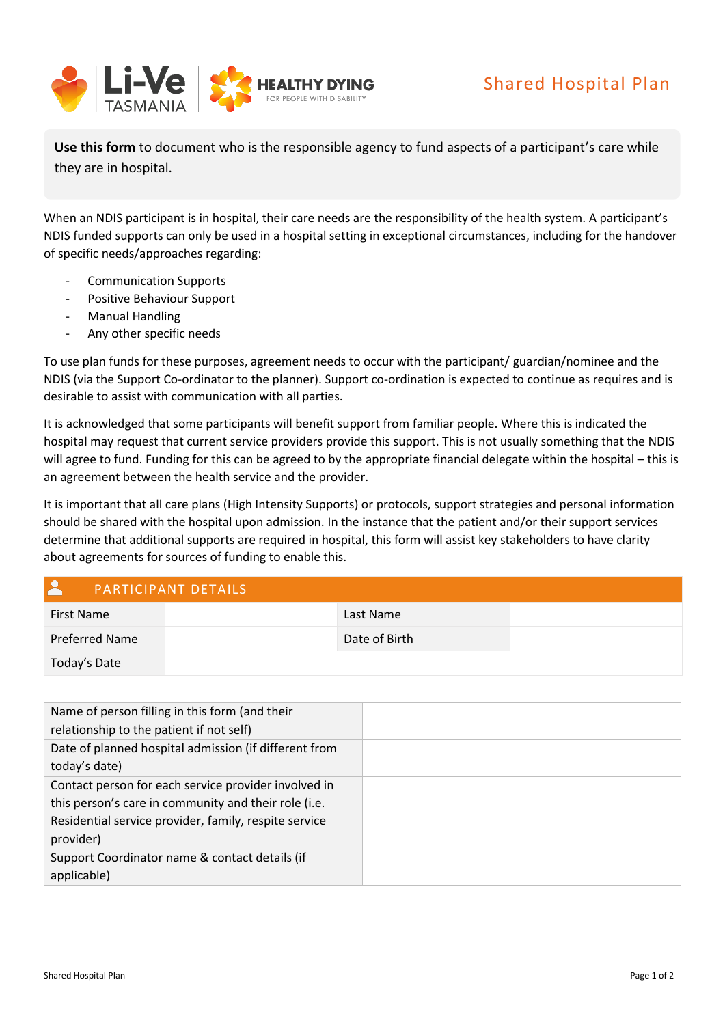

**Use this form** to document who is the responsible agency to fund aspects of a participant's care while they are in hospital.

When an NDIS participant is in hospital, their care needs are the responsibility of the health system. A participant's NDIS funded supports can only be used in a hospital setting in exceptional circumstances, including for the handover of specific needs/approaches regarding:

- Communication Supports
- Positive Behaviour Support
- Manual Handling
- Any other specific needs

To use plan funds for these purposes, agreement needs to occur with the participant/ guardian/nominee and the NDIS (via the Support Co-ordinator to the planner). Support co-ordination is expected to continue as requires and is desirable to assist with communication with all parties.

It is acknowledged that some participants will benefit support from familiar people. Where this is indicated the hospital may request that current service providers provide this support. This is not usually something that the NDIS will agree to fund. Funding for this can be agreed to by the appropriate financial delegate within the hospital – this is an agreement between the health service and the provider.

It is important that all care plans (High Intensity Supports) or protocols, support strategies and personal information should be shared with the hospital upon admission. In the instance that the patient and/or their support services determine that additional supports are required in hospital, this form will assist key stakeholders to have clarity about agreements for sources of funding to enable this.

## PARTICIPANT DETAILS

| <b>First Name</b> | Last Name     |  |
|-------------------|---------------|--|
| Preferred Name    | Date of Birth |  |
| Today's Date      |               |  |

| Name of person filling in this form (and their        |
|-------------------------------------------------------|
| relationship to the patient if not self)              |
| Date of planned hospital admission (if different from |
| today's date)                                         |
| Contact person for each service provider involved in  |
| this person's care in community and their role (i.e.  |
| Residential service provider, family, respite service |
| provider)                                             |
| Support Coordinator name & contact details (if        |
| applicable)                                           |
|                                                       |